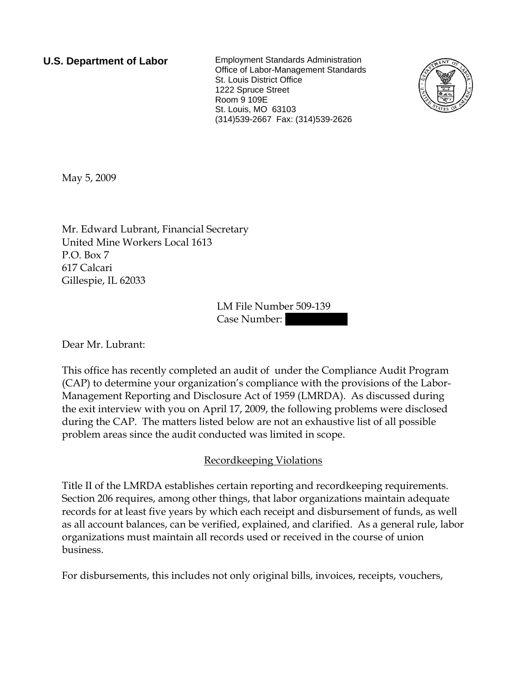**U.S. Department of Labor** Employment Standards Administration Office of Labor-Management Standards St. Louis District Office 1222 Spruce Street Room 9 109E St. Louis, MO 63103 (314)539-2667 Fax: (314)539-2626



May 5, 2009

Mr. Edward Lubrant, Financial Secretary United Mine Workers Local 1613 P.O. Box 7 617 Calcari Gillespie, IL 62033

> LM File Number 509-139 Case Number:

Dear Mr. Lubrant:

This office has recently completed an audit of under the Compliance Audit Program (CAP) to determine your organization's compliance with the provisions of the Labor-Management Reporting and Disclosure Act of 1959 (LMRDA). As discussed during the exit interview with you on April 17, 2009, the following problems were disclosed during the CAP. The matters listed below are not an exhaustive list of all possible problem areas since the audit conducted was limited in scope.

## Recordkeeping Violations

Title II of the LMRDA establishes certain reporting and recordkeeping requirements. Section 206 requires, among other things, that labor organizations maintain adequate records for at least five years by which each receipt and disbursement of funds, as well as all account balances, can be verified, explained, and clarified. As a general rule, labor organizations must maintain all records used or received in the course of union business.

For disbursements, this includes not only original bills, invoices, receipts, vouchers,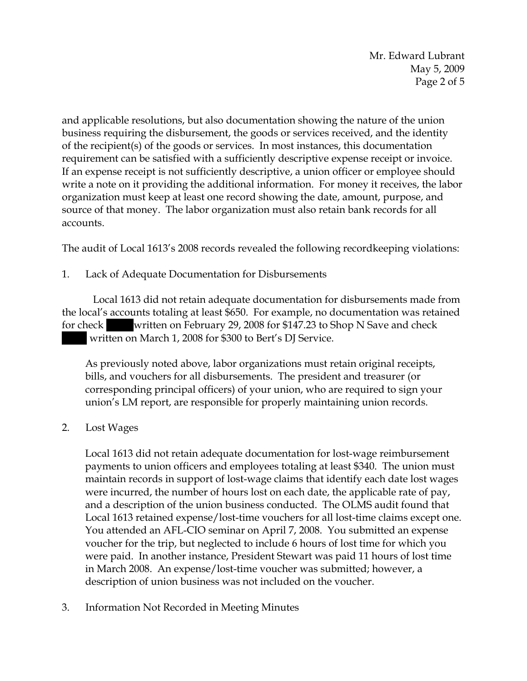Mr. Edward Lubrant May 5, 2009 Page 2 of 5

and applicable resolutions, but also documentation showing the nature of the union business requiring the disbursement, the goods or services received, and the identity of the recipient(s) of the goods or services. In most instances, this documentation requirement can be satisfied with a sufficiently descriptive expense receipt or invoice. If an expense receipt is not sufficiently descriptive, a union officer or employee should write a note on it providing the additional information. For money it receives, the labor organization must keep at least one record showing the date, amount, purpose, and source of that money. The labor organization must also retain bank records for all accounts.

The audit of Local 1613's 2008 records revealed the following recordkeeping violations:

1. Lack of Adequate Documentation for Disbursements

 Local 1613 did not retain adequate documentation for disbursements made from the local's accounts totaling at least \$650. For example, no documentation was retained for check written on February 29, 2008 for \$147.23 to Shop N Save and check |||| written on March 1, 2008 for \$300 to Bert's DJ Service.

As previously noted above, labor organizations must retain original receipts, bills, and vouchers for all disbursements. The president and treasurer (or corresponding principal officers) of your union, who are required to sign your union's LM report, are responsible for properly maintaining union records.

2. Lost Wages

Local 1613 did not retain adequate documentation for lost-wage reimbursement payments to union officers and employees totaling at least \$340. The union must maintain records in support of lost-wage claims that identify each date lost wages were incurred, the number of hours lost on each date, the applicable rate of pay, and a description of the union business conducted. The OLMS audit found that Local 1613 retained expense/lost-time vouchers for all lost-time claims except one. You attended an AFL-CIO seminar on April 7, 2008. You submitted an expense voucher for the trip, but neglected to include 6 hours of lost time for which you were paid. In another instance, President Stewart was paid 11 hours of lost time in March 2008. An expense/lost-time voucher was submitted; however, a description of union business was not included on the voucher.

3. Information Not Recorded in Meeting Minutes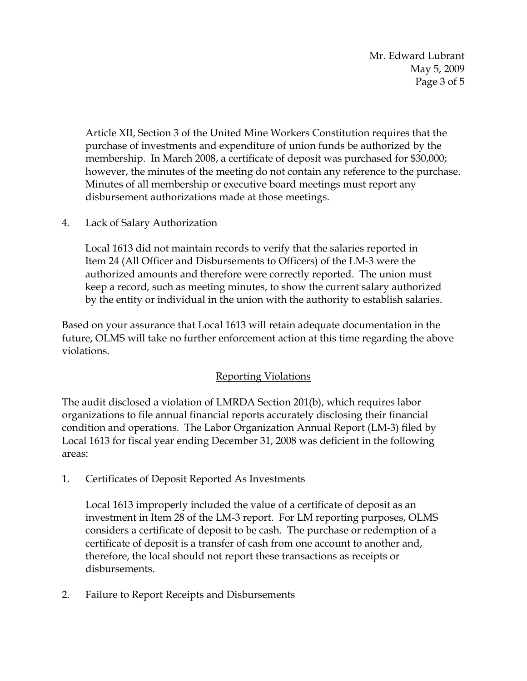Mr. Edward Lubrant May 5, 2009 Page 3 of 5

Article XII, Section 3 of the United Mine Workers Constitution requires that the purchase of investments and expenditure of union funds be authorized by the membership. In March 2008, a certificate of deposit was purchased for \$30,000; however, the minutes of the meeting do not contain any reference to the purchase. Minutes of all membership or executive board meetings must report any disbursement authorizations made at those meetings.

4. Lack of Salary Authorization

Local 1613 did not maintain records to verify that the salaries reported in Item 24 (All Officer and Disbursements to Officers) of the LM-3 were the authorized amounts and therefore were correctly reported. The union must keep a record, such as meeting minutes, to show the current salary authorized by the entity or individual in the union with the authority to establish salaries.

Based on your assurance that Local 1613 will retain adequate documentation in the future, OLMS will take no further enforcement action at this time regarding the above violations.

## Reporting Violations

The audit disclosed a violation of LMRDA Section 201(b), which requires labor organizations to file annual financial reports accurately disclosing their financial condition and operations. The Labor Organization Annual Report (LM-3) filed by Local 1613 for fiscal year ending December 31, 2008 was deficient in the following areas:

1. Certificates of Deposit Reported As Investments

Local 1613 improperly included the value of a certificate of deposit as an investment in Item 28 of the LM-3 report. For LM reporting purposes, OLMS considers a certificate of deposit to be cash. The purchase or redemption of a certificate of deposit is a transfer of cash from one account to another and, therefore, the local should not report these transactions as receipts or disbursements.

2. Failure to Report Receipts and Disbursements